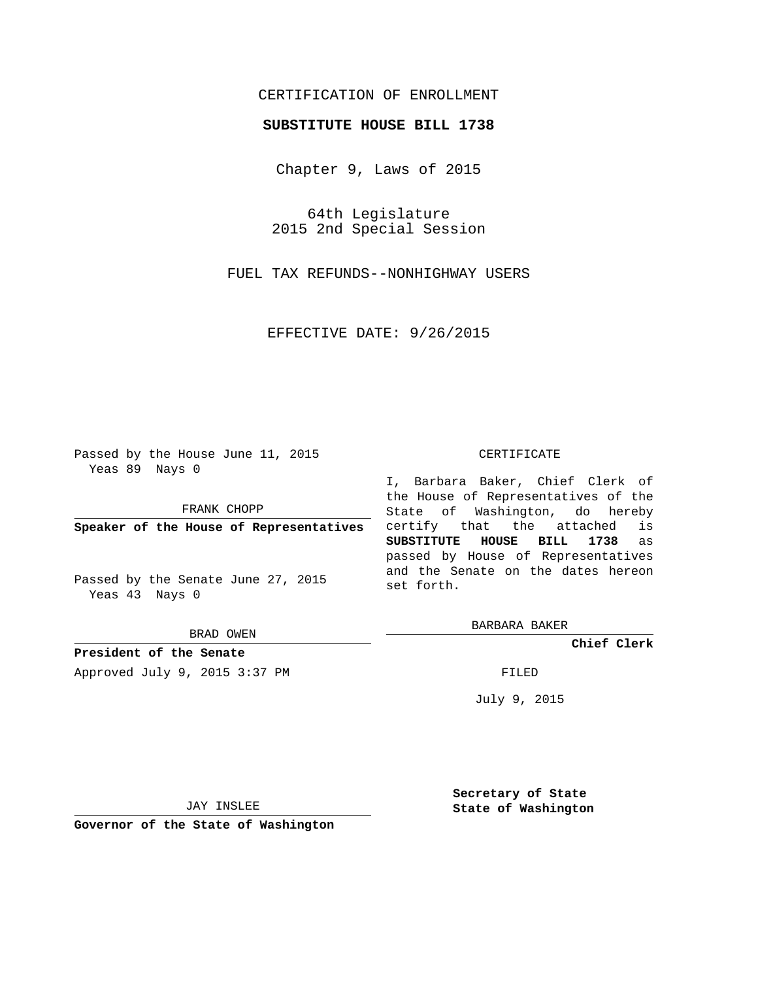# CERTIFICATION OF ENROLLMENT

## **SUBSTITUTE HOUSE BILL 1738**

Chapter 9, Laws of 2015

64th Legislature 2015 2nd Special Session

FUEL TAX REFUNDS--NONHIGHWAY USERS

EFFECTIVE DATE: 9/26/2015

Passed by the House June 11, 2015 Yeas 89 Nays 0

FRANK CHOPP

**Speaker of the House of Representatives**

Passed by the Senate June 27, 2015 Yeas 43 Nays 0

BRAD OWEN

**President of the Senate** Approved July 9, 2015 3:37 PM FILED

#### CERTIFICATE

I, Barbara Baker, Chief Clerk of the House of Representatives of the State of Washington, do hereby certify that the attached is **SUBSTITUTE HOUSE BILL 1738** as passed by House of Representatives and the Senate on the dates hereon set forth.

BARBARA BAKER

**Chief Clerk**

July 9, 2015

JAY INSLEE

**Governor of the State of Washington**

**Secretary of State State of Washington**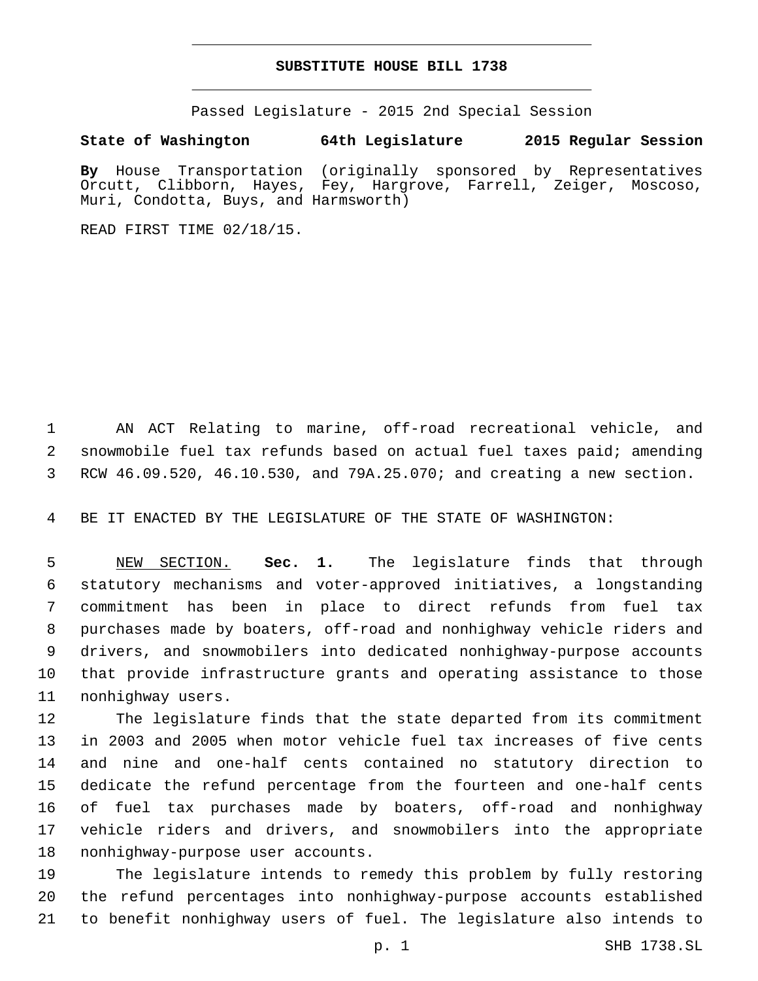## **SUBSTITUTE HOUSE BILL 1738**

Passed Legislature - 2015 2nd Special Session

### **State of Washington 64th Legislature 2015 Regular Session**

**By** House Transportation (originally sponsored by Representatives Orcutt, Clibborn, Hayes, Fey, Hargrove, Farrell, Zeiger, Moscoso, Muri, Condotta, Buys, and Harmsworth)

READ FIRST TIME 02/18/15.

 AN ACT Relating to marine, off-road recreational vehicle, and snowmobile fuel tax refunds based on actual fuel taxes paid; amending RCW 46.09.520, 46.10.530, and 79A.25.070; and creating a new section.

BE IT ENACTED BY THE LEGISLATURE OF THE STATE OF WASHINGTON:

 NEW SECTION. **Sec. 1.** The legislature finds that through statutory mechanisms and voter-approved initiatives, a longstanding commitment has been in place to direct refunds from fuel tax purchases made by boaters, off-road and nonhighway vehicle riders and drivers, and snowmobilers into dedicated nonhighway-purpose accounts that provide infrastructure grants and operating assistance to those nonhighway users.

 The legislature finds that the state departed from its commitment in 2003 and 2005 when motor vehicle fuel tax increases of five cents and nine and one-half cents contained no statutory direction to dedicate the refund percentage from the fourteen and one-half cents of fuel tax purchases made by boaters, off-road and nonhighway vehicle riders and drivers, and snowmobilers into the appropriate 18 nonhighway-purpose user accounts.

 The legislature intends to remedy this problem by fully restoring the refund percentages into nonhighway-purpose accounts established to benefit nonhighway users of fuel. The legislature also intends to

p. 1 SHB 1738.SL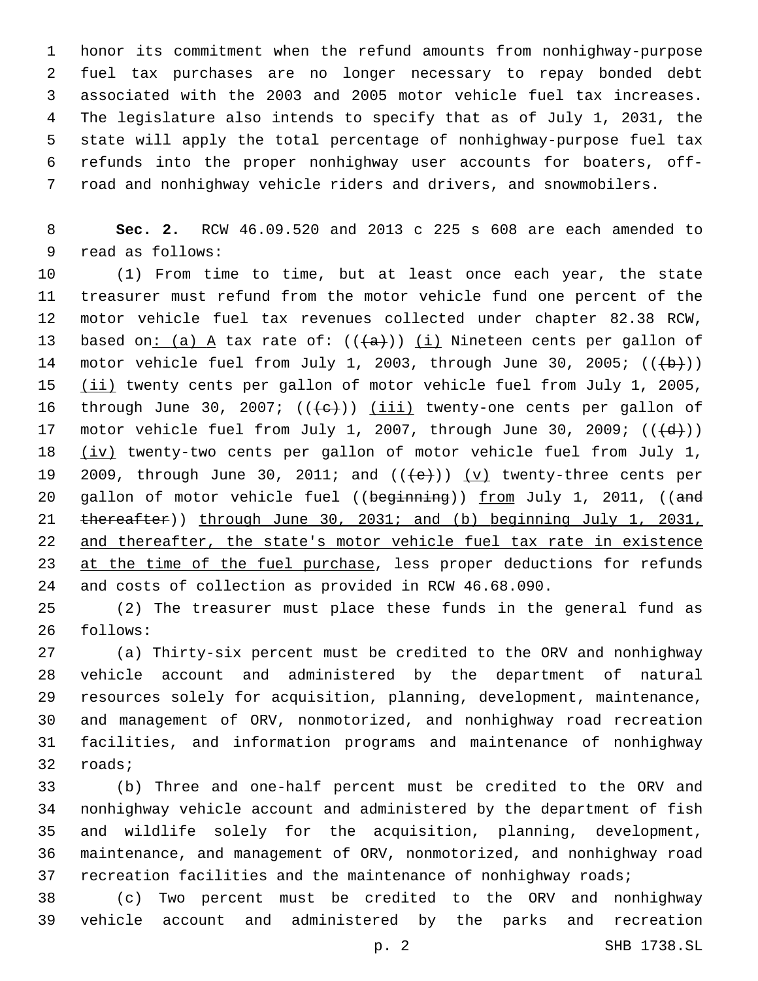honor its commitment when the refund amounts from nonhighway-purpose fuel tax purchases are no longer necessary to repay bonded debt associated with the 2003 and 2005 motor vehicle fuel tax increases. The legislature also intends to specify that as of July 1, 2031, the state will apply the total percentage of nonhighway-purpose fuel tax refunds into the proper nonhighway user accounts for boaters, off-road and nonhighway vehicle riders and drivers, and snowmobilers.

 **Sec. 2.** RCW 46.09.520 and 2013 c 225 s 608 are each amended to 9 read as follows:

 (1) From time to time, but at least once each year, the state treasurer must refund from the motor vehicle fund one percent of the motor vehicle fuel tax revenues collected under chapter 82.38 RCW, 13 based on: (a) A tax rate of:  $((+a))$  (i) Nineteen cents per gallon of 14 motor vehicle fuel from July 1, 2003, through June 30, 2005;  $((+b))$ 15 (ii) twenty cents per gallon of motor vehicle fuel from July 1, 2005, 16 through June 30, 2007;  $((+e))$  (iii) twenty-one cents per gallon of 17 motor vehicle fuel from July 1, 2007, through June 30, 2009;  $((\{d\})$  (iv) twenty-two cents per gallon of motor vehicle fuel from July 1, 19 2009, through June 30, 2011; and  $((e+))$  (v) twenty-three cents per 20 gallon of motor vehicle fuel ((beginning)) from July 1, 2011, ((and 21 thereafter)) through June 30, 2031; and (b) beginning July 1, 2031, and thereafter, the state's motor vehicle fuel tax rate in existence 23 at the time of the fuel purchase, less proper deductions for refunds and costs of collection as provided in RCW 46.68.090.

 (2) The treasurer must place these funds in the general fund as 26 follows:

 (a) Thirty-six percent must be credited to the ORV and nonhighway vehicle account and administered by the department of natural resources solely for acquisition, planning, development, maintenance, and management of ORV, nonmotorized, and nonhighway road recreation facilities, and information programs and maintenance of nonhighway 32 roads;

 (b) Three and one-half percent must be credited to the ORV and nonhighway vehicle account and administered by the department of fish and wildlife solely for the acquisition, planning, development, maintenance, and management of ORV, nonmotorized, and nonhighway road 37 recreation facilities and the maintenance of nonhighway roads;

 (c) Two percent must be credited to the ORV and nonhighway vehicle account and administered by the parks and recreation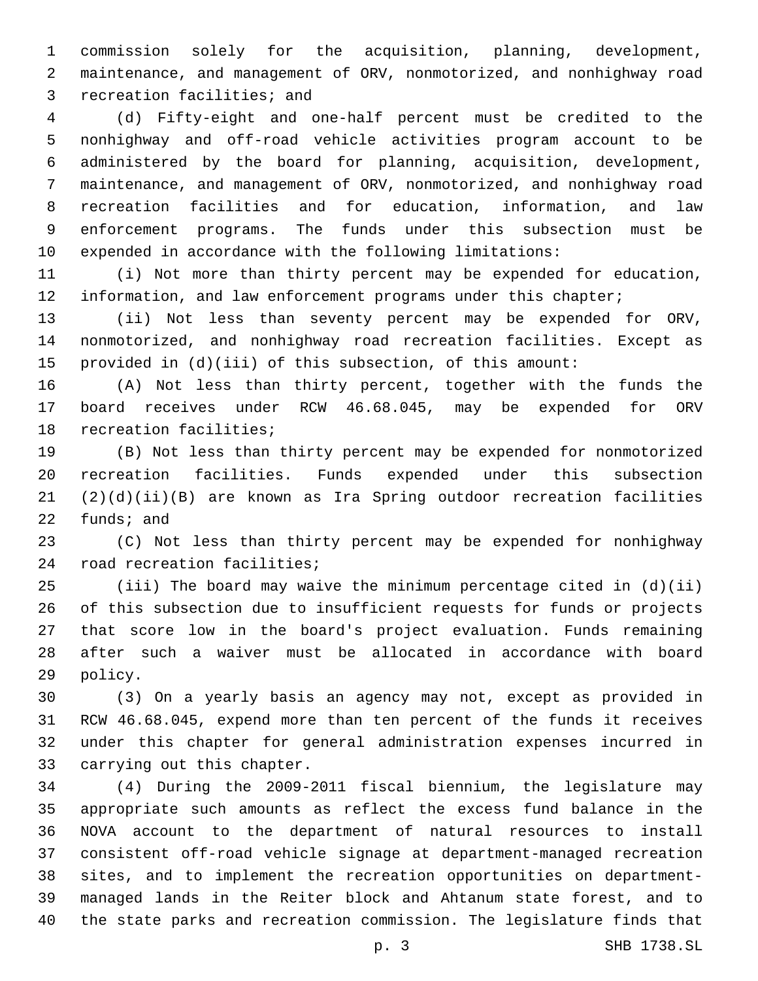commission solely for the acquisition, planning, development, maintenance, and management of ORV, nonmotorized, and nonhighway road 3 recreation facilities; and

 (d) Fifty-eight and one-half percent must be credited to the nonhighway and off-road vehicle activities program account to be administered by the board for planning, acquisition, development, maintenance, and management of ORV, nonmotorized, and nonhighway road recreation facilities and for education, information, and law enforcement programs. The funds under this subsection must be expended in accordance with the following limitations:

 (i) Not more than thirty percent may be expended for education, 12 information, and law enforcement programs under this chapter;

 (ii) Not less than seventy percent may be expended for ORV, nonmotorized, and nonhighway road recreation facilities. Except as provided in (d)(iii) of this subsection, of this amount:

 (A) Not less than thirty percent, together with the funds the board receives under RCW 46.68.045, may be expended for ORV 18 recreation facilities;

 (B) Not less than thirty percent may be expended for nonmotorized recreation facilities. Funds expended under this subsection (2)(d)(ii)(B) are known as Ira Spring outdoor recreation facilities funds; and

 (C) Not less than thirty percent may be expended for nonhighway 24 road recreation facilities;

 (iii) The board may waive the minimum percentage cited in (d)(ii) of this subsection due to insufficient requests for funds or projects that score low in the board's project evaluation. Funds remaining after such a waiver must be allocated in accordance with board 29 policy.

 (3) On a yearly basis an agency may not, except as provided in RCW 46.68.045, expend more than ten percent of the funds it receives under this chapter for general administration expenses incurred in 33 carrying out this chapter.

 (4) During the 2009-2011 fiscal biennium, the legislature may appropriate such amounts as reflect the excess fund balance in the NOVA account to the department of natural resources to install consistent off-road vehicle signage at department-managed recreation sites, and to implement the recreation opportunities on department- managed lands in the Reiter block and Ahtanum state forest, and to the state parks and recreation commission. The legislature finds that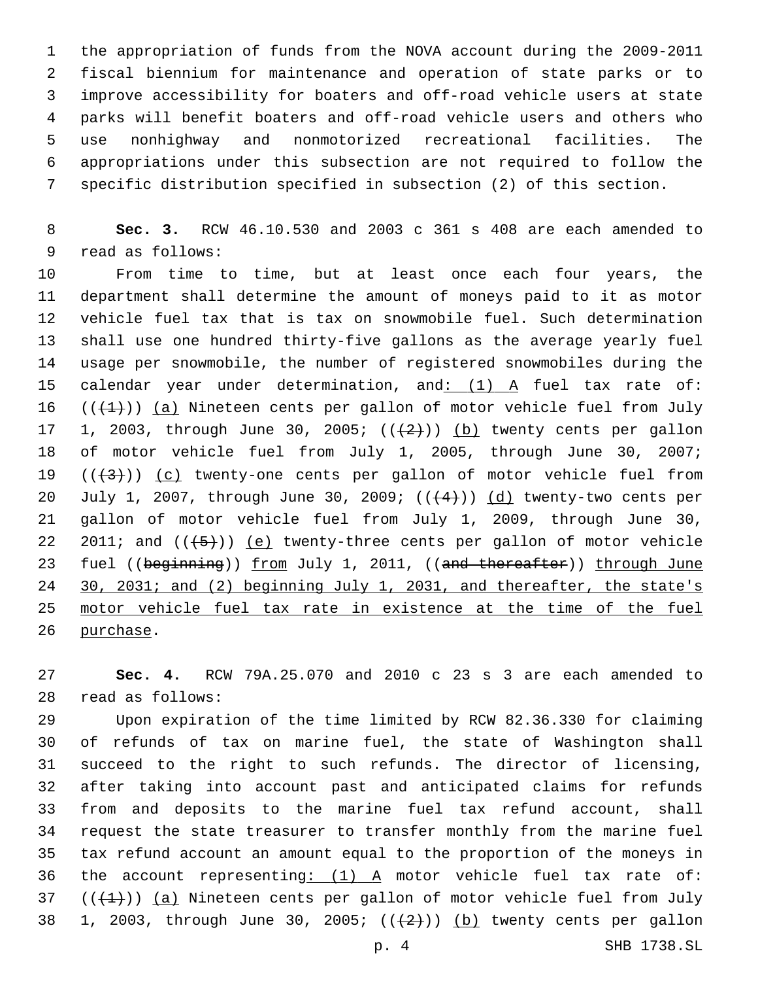the appropriation of funds from the NOVA account during the 2009-2011 fiscal biennium for maintenance and operation of state parks or to improve accessibility for boaters and off-road vehicle users at state parks will benefit boaters and off-road vehicle users and others who use nonhighway and nonmotorized recreational facilities. The appropriations under this subsection are not required to follow the specific distribution specified in subsection (2) of this section.

 **Sec. 3.** RCW 46.10.530 and 2003 c 361 s 408 are each amended to 9 read as follows:

 From time to time, but at least once each four years, the department shall determine the amount of moneys paid to it as motor vehicle fuel tax that is tax on snowmobile fuel. Such determination shall use one hundred thirty-five gallons as the average yearly fuel usage per snowmobile, the number of registered snowmobiles during the 15 calendar year under determination, and: (1) A fuel tax rate of: 16  $((+1))$  (a) Nineteen cents per gallon of motor vehicle fuel from July 17 1, 2003, through June 30, 2005;  $((+2)^{n})$  (b) twenty cents per gallon of motor vehicle fuel from July 1, 2005, through June 30, 2007; 19  $((+3))$   $(c)$  twenty-one cents per gallon of motor vehicle fuel from 20 July 1, 2007, through June 30, 2009;  $((+4))$   $(d)$  twenty-two cents per gallon of motor vehicle fuel from July 1, 2009, through June 30, 22 2011; and  $((+5))$  (e) twenty-three cents per gallon of motor vehicle 23 fuel ((beginning)) from July 1, 2011, ((and thereafter)) through June 24 30, 2031; and (2) beginning July 1, 2031, and thereafter, the state's motor vehicle fuel tax rate in existence at the time of the fuel 26 purchase.

 **Sec. 4.** RCW 79A.25.070 and 2010 c 23 s 3 are each amended to 28 read as follows:

 Upon expiration of the time limited by RCW 82.36.330 for claiming of refunds of tax on marine fuel, the state of Washington shall succeed to the right to such refunds. The director of licensing, after taking into account past and anticipated claims for refunds from and deposits to the marine fuel tax refund account, shall request the state treasurer to transfer monthly from the marine fuel tax refund account an amount equal to the proportion of the moneys in 36 the account representing:  $(1)$  A motor vehicle fuel tax rate of:  $((+1))$  (a) Nineteen cents per gallon of motor vehicle fuel from July 38 1, 2003, through June 30, 2005;  $((+2+))$  (b) twenty cents per gallon

p. 4 SHB 1738.SL